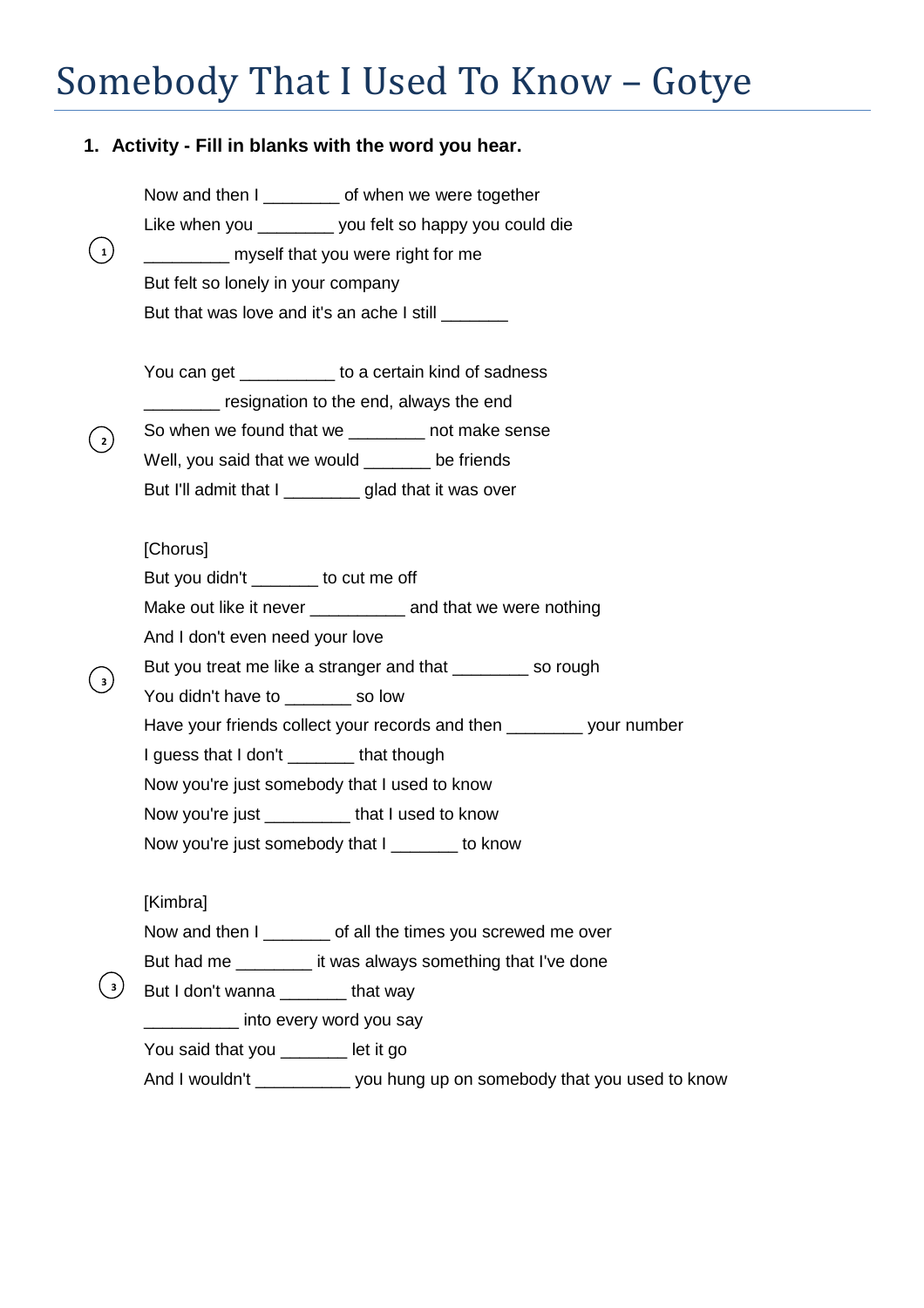## Somebody That I Used To Know – Gotye

## **1. Activity - Fill in blanks with the word you hear.**

Now and then I \_\_\_\_\_\_\_\_ of when we were together Like when you \_\_\_\_\_\_\_\_\_ you felt so happy you could die \_\_\_\_\_\_\_\_\_ myself that you were right for me But felt so lonely in your company But that was love and it's an ache I still \_\_\_\_\_\_\_ You can get The State to a certain kind of sadness **wave manufarm** resignation to the end, always the end So when we found that we \_\_\_\_\_\_\_\_ not make sense Well, you said that we would be friends But I'll admit that I \_\_\_\_\_\_\_\_\_ glad that it was over [Chorus] But you didn't \_\_\_\_\_\_\_ to cut me off Make out like it never \_\_\_\_\_\_\_\_\_\_ and that we were nothing And I don't even need your love But you treat me like a stranger and that \_\_\_\_\_\_\_\_ so rough You didn't have to so low Have your friends collect your records and then \_\_\_\_\_\_\_\_ your number I guess that I don't \_\_\_\_\_\_\_ that though Now you're just somebody that I used to know Now you're just that I used to know Now you're just somebody that I \_\_\_\_\_\_\_ to know [Kimbra] Now and then I \_\_\_\_\_\_\_ of all the times you screwed me over But had me **but it was always something that I've done** But I don't wanna \_\_\_\_\_\_\_ that way \_\_\_\_\_\_\_\_\_\_ into every word you say You said that you \_\_\_\_\_\_\_ let it go And I wouldn't \_\_\_\_\_\_\_\_\_\_\_ you hung up on somebody that you used to know  $\binom{1}{1}$  $\binom{2}{}$  $\binom{3}{2}$ **3**